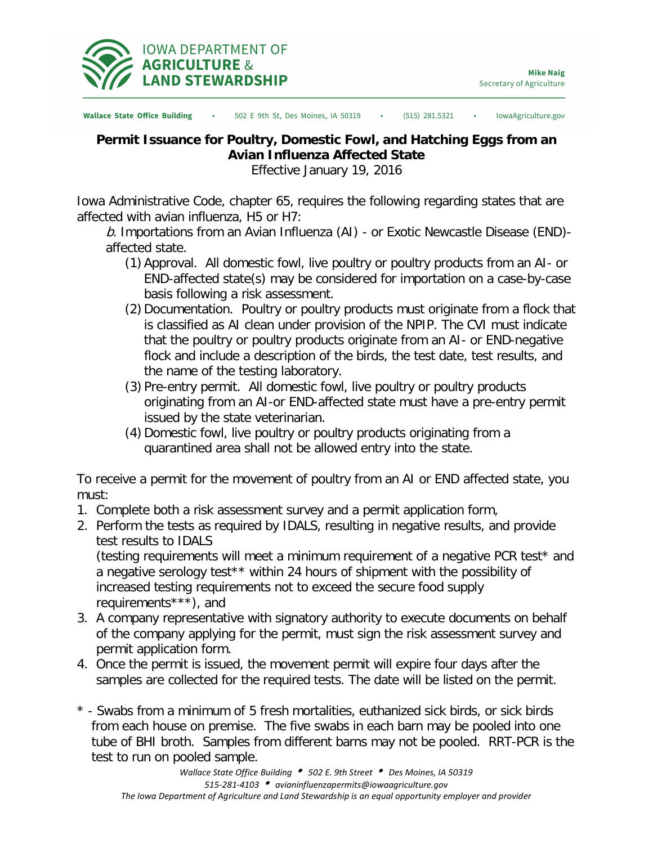

**Wallace State Office Building** 502 E 9th St, Des Moines, IA 50319  $(515)$  281.5321 IowaAgriculture.gov

## **Permit Issuance for Poultry, Domestic Fowl, and Hatching Eggs from an Avian Influenza Affected State**

Effective January 19, 2016

Iowa Administrative Code, chapter 65, requires the following regarding states that are affected with avian influenza, H5 or H7:

b. Importations from an Avian Influenza  $(AI)$  - or Exotic Newcastle Disease (END)affected state.

- (1) Approval. All domestic fowl, live poultry or poultry products from an AI- or END-affected state(s) may be considered for importation on a case-by-case basis following a risk assessment.
- (2) Documentation. Poultry or poultry products must originate from a flock that is classified as AI clean under provision of the NPIP. The CVI must indicate that the poultry or poultry products originate from an AI- or END-negative flock and include a description of the birds, the test date, test results, and the name of the testing laboratory.
- (3) Pre-entry permit. All domestic fowl, live poultry or poultry products originating from an AI-or END-affected state must have a pre-entry permit issued by the state veterinarian.
- (4) Domestic fowl, live poultry or poultry products originating from a quarantined area shall not be allowed entry into the state.

To receive a permit for the movement of poultry from an AI or END affected state, you must:

- 1. Complete both a risk assessment survey and a permit application form,
- 2. Perform the tests as required by IDALS, resulting in negative results, and provide test results to IDALS

(testing requirements will meet a minimum requirement of a negative PCR test\* and a negative serology test\*\* within 24 hours of shipment with the possibility of increased testing requirements not to exceed the secure food supply requirements\*\*\*), and

- 3. A company representative with signatory authority to execute documents on behalf of the company applying for the permit, must sign the risk assessment survey and permit application form.
- 4. Once the permit is issued, the movement permit will expire four days after the samples are collected for the required tests. The date will be listed on the permit.
- \* Swabs from a minimum of 5 fresh mortalities, euthanized sick birds, or sick birds from each house on premise. The five swabs in each barn may be pooled into one tube of BHI broth. Samples from different barns may not be pooled. RRT-PCR is the test to run on pooled sample.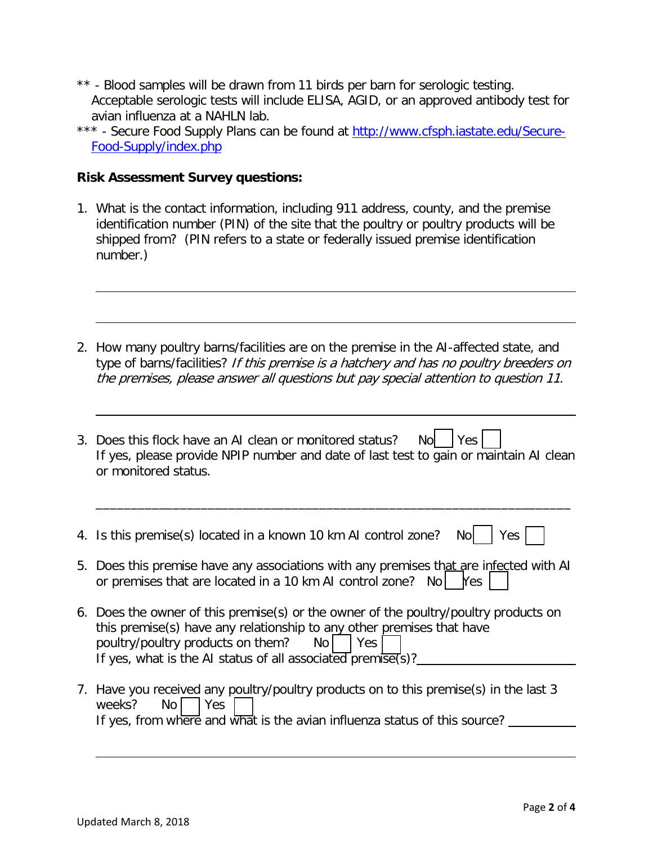- \*\* Blood samples will be drawn from 11 birds per barn for serologic testing. Acceptable serologic tests will include ELISA, AGID, or an approved antibody test for avian influenza at a NAHLN lab.
- \*\*\* Secure Food Supply Plans can be found at [http://www.cfsph.iastate.edu/Secure-](http://www.cfsph.iastate.edu/Secure-Food-Supply/index.php)[Food-Supply/index.php](http://www.cfsph.iastate.edu/Secure-Food-Supply/index.php)

## **Risk Assessment Survey questions:**

- 1. What is the contact information, including 911 address, county, and the premise identification number (PIN) of the site that the poultry or poultry products will be shipped from? (PIN refers to a state or federally issued premise identification number.)
- 2. How many poultry barns/facilities are on the premise in the AI-affected state, and type of barns/facilities? If this premise is a hatchery and has no poultry breeders on the premises, please answer all questions but pay special attention to question 11.
- 3. Does this flock have an AI clean or monitored status? No  $|$  Yes  $|$ If yes, please provide NPIP number and date of last test to gain or maintain AI clean or monitored status.

\_\_\_\_\_\_\_\_\_\_\_\_\_\_\_\_\_\_\_\_\_\_\_\_\_\_\_\_\_\_\_\_\_\_\_\_\_\_\_\_\_\_\_\_\_\_\_\_\_\_\_\_\_\_\_\_\_\_\_\_\_\_\_\_\_\_\_\_

- 4. Is this premise(s) located in a known 10 km AI control zone? No  $\vert$  Yes  $\vert$
- 5. Does this premise have any associations with any premises that are infected with AI or premises that are located in a 10 km AI control zone? No  $\vert$  Yes  $\vert$
- 6. Does the owner of this premise(s) or the owner of the poultry/poultry products on this premise(s) have any relationship to any other premises that have poultry/poultry products on them?  $\log |\cos \theta|$ If yes, what is the AI status of all associated premise(s)?
- 7. Have you received any poultry/poultry products on to this premise(s) in the last 3 weeks? No Yes If yes, from where and what is the avian influenza status of this source? \_\_\_\_\_\_\_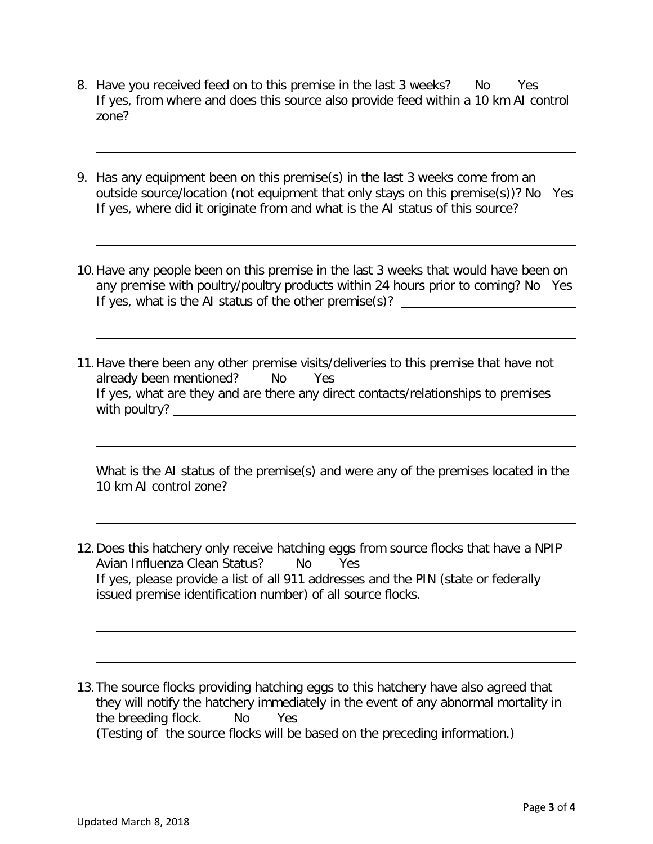- 8. Have you received feed on to this premise in the last 3 weeks? No Yes If yes, from where and does this source also provide feed within a 10 km AI control zone?
- 9. Has any equipment been on this premise(s) in the last 3 weeks come from an outside source/location (not equipment that only stays on this premise(s))? No Yes If yes, where did it originate from and what is the AI status of this source?
- 10.Have any people been on this premise in the last 3 weeks that would have been on any premise with poultry/poultry products within 24 hours prior to coming? No Yes If yes, what is the AI status of the other premise(s)?
- 11.Have there been any other premise visits/deliveries to this premise that have not already been mentioned? No Yes If yes, what are they and are there any direct contacts/relationships to premises with poultry?

What is the AI status of the premise(s) and were any of the premises located in the 10 km AI control zone?

- 12.Does this hatchery only receive hatching eggs from source flocks that have a NPIP Avian Influenza Clean Status? No Yes If yes, please provide a list of all 911 addresses and the PIN (state or federally issued premise identification number) of all source flocks.
- 13.The source flocks providing hatching eggs to this hatchery have also agreed that they will notify the hatchery immediately in the event of any abnormal mortality in the breeding flock. No Yes (Testing of the source flocks will be based on the preceding information.)